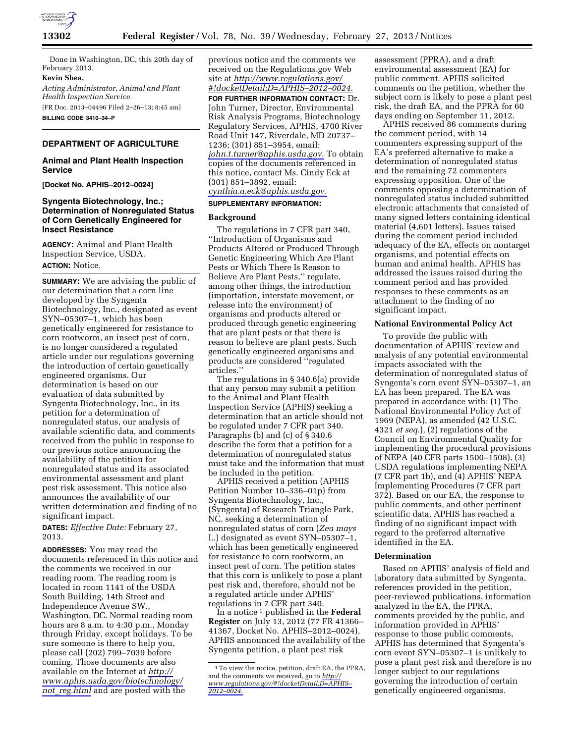

Done in Washington, DC, this 20th day of February 2013.

## **Kevin Shea,**

*Acting Administrator, Animal and Plant Health Inspection Service.*  [FR Doc. 2013–04496 Filed 2–26–13; 8:45 am]

**BILLING CODE 3410–34–P** 

# **DEPARTMENT OF AGRICULTURE**

# **Animal and Plant Health Inspection Service**

**[Docket No. APHIS–2012–0024]** 

# **Syngenta Biotechnology, Inc.; Determination of Nonregulated Status of Corn Genetically Engineered for Insect Resistance**

**AGENCY:** Animal and Plant Health Inspection Service, USDA. **ACTION:** Notice.

**SUMMARY:** We are advising the public of our determination that a corn line developed by the Syngenta Biotechnology, Inc., designated as event SYN–05307–1, which has been genetically engineered for resistance to corn rootworm, an insect pest of corn, is no longer considered a regulated article under our regulations governing the introduction of certain genetically engineered organisms. Our determination is based on our evaluation of data submitted by Syngenta Biotechnology, Inc., in its petition for a determination of nonregulated status, our analysis of available scientific data, and comments received from the public in response to our previous notice announcing the availability of the petition for nonregulated status and its associated environmental assessment and plant pest risk assessment. This notice also announces the availability of our written determination and finding of no significant impact.

**DATES:** *Effective Date:* February 27, 2013.

**ADDRESSES:** You may read the documents referenced in this notice and the comments we received in our reading room. The reading room is located in room 1141 of the USDA South Building, 14th Street and Independence Avenue SW., Washington, DC. Normal reading room hours are 8 a.m. to 4:30 p.m., Monday through Friday, except holidays. To be sure someone is there to help you, please call (202) 799–7039 before coming. Those documents are also available on the Internet at *[http://](http://www.aphis.usda.gov/biotechnology/not_reg.html) [www.aphis.usda.gov/biotechnology/](http://www.aphis.usda.gov/biotechnology/not_reg.html)  not*\_*[reg.html](http://www.aphis.usda.gov/biotechnology/not_reg.html)* and are posted with the

previous notice and the comments we received on the Regulations.gov Web site at *[http://www.regulations.gov/](http://www.regulations.gov/#!docketDetail;D=APHIS-2012-0024)  [#!docketDetail;D=APHIS–2012–0024.](http://www.regulations.gov/#!docketDetail;D=APHIS-2012-0024)* 

**FOR FURTHER INFORMATION CONTACT:** Dr. John Turner, Director, Environmental Risk Analysis Programs, Biotechnology Regulatory Services, APHIS, 4700 River Road Unit 147, Riverdale, MD 20737– 1236; (301) 851–3954, email: *[john.t.turner@aphis.usda.gov.](mailto:john.t.turner@aphis.usda.gov)* To obtain copies of the documents referenced in this notice, contact Ms. Cindy Eck at (301) 851–3892, email: *[cynthia.a.eck@aphis.usda.gov.](mailto:cynthia.a.eck@aphis.usda.gov)* 

# **SUPPLEMENTARY INFORMATION:**

# **Background**

The regulations in 7 CFR part 340, ''Introduction of Organisms and Products Altered or Produced Through Genetic Engineering Which Are Plant Pests or Which There Is Reason to Believe Are Plant Pests,'' regulate, among other things, the introduction (importation, interstate movement, or release into the environment) of organisms and products altered or produced through genetic engineering that are plant pests or that there is reason to believe are plant pests. Such genetically engineered organisms and products are considered ''regulated articles.''

The regulations in § 340.6(a) provide that any person may submit a petition to the Animal and Plant Health Inspection Service (APHIS) seeking a determination that an article should not be regulated under 7 CFR part 340. Paragraphs (b) and (c) of § 340.6 describe the form that a petition for a determination of nonregulated status must take and the information that must be included in the petition.

APHIS received a petition (APHIS Petition Number 10–336–01p) from Syngenta Biotechnology, Inc., (Syngenta) of Research Triangle Park, NC, seeking a determination of nonregulated status of corn (*Zea mays*  L.) designated as event SYN–05307–1, which has been genetically engineered for resistance to corn rootworm, an insect pest of corn. The petition states that this corn is unlikely to pose a plant pest risk and, therefore, should not be a regulated article under APHIS' regulations in 7 CFR part 340.

In a notice 1 published in the **Federal Register** on July 13, 2012 (77 FR 41366– 41367, Docket No. APHIS–2012–0024), APHIS announced the availability of the Syngenta petition, a plant pest risk

assessment (PPRA), and a draft environmental assessment (EA) for public comment. APHIS solicited comments on the petition, whether the subject corn is likely to pose a plant pest risk, the draft EA, and the PPRA for 60 days ending on September 11, 2012.

APHIS received 86 comments during the comment period, with 14 commenters expressing support of the EA's preferred alternative to make a determination of nonregulated status and the remaining 72 commenters expressing opposition. One of the comments opposing a determination of nonregulated status included submitted electronic attachments that consisted of many signed letters containing identical material (4,601 letters). Issues raised during the comment period included adequacy of the EA, effects on nontarget organisms, and potential effects on human and animal health. APHIS has addressed the issues raised during the comment period and has provided responses to these comments as an attachment to the finding of no significant impact.

#### **National Environmental Policy Act**

To provide the public with documentation of APHIS' review and analysis of any potential environmental impacts associated with the determination of nonregulated status of Syngenta's corn event SYN–05307–1, an EA has been prepared. The EA was prepared in accordance with: (1) The National Environmental Policy Act of 1969 (NEPA), as amended (42 U.S.C. 4321 *et seq.*), (2) regulations of the Council on Environmental Quality for implementing the procedural provisions of NEPA (40 CFR parts 1500–1508), (3) USDA regulations implementing NEPA (7 CFR part 1b), and (4) APHIS' NEPA Implementing Procedures (7 CFR part 372). Based on our EA, the response to public comments, and other pertinent scientific data, APHIS has reached a finding of no significant impact with regard to the preferred alternative identified in the EA.

#### **Determination**

Based on APHIS' analysis of field and laboratory data submitted by Syngenta, references provided in the petition, peer-reviewed publications, information analyzed in the EA, the PPRA, comments provided by the public, and information provided in APHIS' response to those public comments, APHIS has determined that Syngenta's corn event SYN–05307–1 is unlikely to pose a plant pest risk and therefore is no longer subject to our regulations governing the introduction of certain genetically engineered organisms.

<sup>1</sup>To view the notice, petition, draft EA, the PPRA, and the comments we received, go to *[http://](http://www.regulations.gov/#!docketDetail;D=APHIS-2012-0024) [www.regulations.gov/#!docketDetail;D=APHIS–](http://www.regulations.gov/#!docketDetail;D=APHIS-2012-0024)  [2012–0024.](http://www.regulations.gov/#!docketDetail;D=APHIS-2012-0024)*